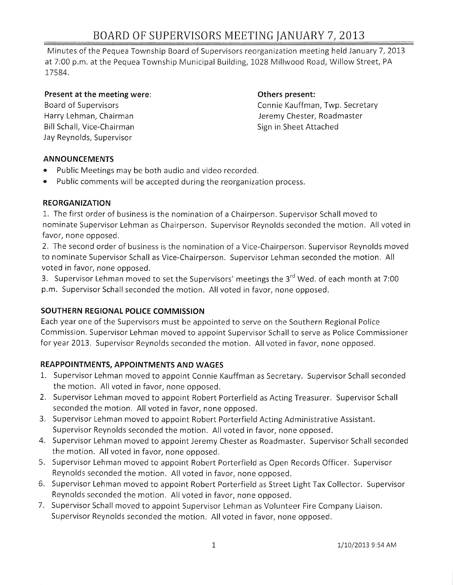# BOARD OF SUPERVISORS MEETING JANUARY 7,2013

Minutes of the Pequea Township Board of Supervisors reorganization meeting held January 7, 2013 at 7:00 p.m. at the Pequea Township Municipal Building, 1028 Millwood Road, Willow Street, PA 17584.

### **Present at the meeting were: CHE CORPORE AT A CONSERVANT PRESENT: Others present:**

Board of Supervisors Harry Lehman, Chairman Bill Schall, Vice-Chairman Jay Reynolds, Supervisor

Connie Kauffman, Twp. Secretary Jeremy Chester, Roadmaster Sign in Sheet Attached

## **ANNOUNCEMENTS**

- Public Meetings may be both audio and video recorded.
- Public comments will be accepted during the reorganization process.

## **REORGANIZATION**

1. The first order of business is the nomination of a Chairperson. Supervisor Schall moved to nominate Supervisor Lehman as Chairperson. Supervisor Reynolds seconded the motion. All voted in favor, none opposed.

2. The second order of business is the nomination of a Vice-Chairperson. Supervisor Reynolds moved to nominate Supervisor Schall as Vice-Chairperson. Supervisor Lehman seconded the motion. All voted in favor, none opposed.

3. Supervisor Lehman moved to set the Supervisors' meetings the 3<sup>rd</sup> Wed. of each month at 7:00 p.m. Supervisor Schall seconded the motion. All voted in favor, none opposed.

## **SOUTHERN REGIONAL POLICE COMMISSION**

Each year one of the Supervisors must be appointed to serve on the Southern Regional Police Commission. Supervisor Lehman moved to appoint Supervisor Schall to serve as Police Commissioner for year 2013. Supervisor Reynolds seconded the motion. All voted in favor, none opposed.

## **REAPPOINTMENTS, APPOINTMENTS AND WAGES**

- 1. Supervisor Lehman moved to appoint Connie Kauffman as Secretary. Supervisor Schall seconded the motion. All voted in favor, none opposed.
- 2. Supervisor Lehman moved to appoint Robert Porterfield as Acting Treasurer. Supervisor Schall seconded the motion. All voted in favor, none opposed.
- 3. Supervisor Lehman moved to appoint Robert Porterfield Acting Administrative Assistant. Supervisor Reynolds seconded the motion. All voted in favor, none opposed.
- 4. Supervisor Lehman moved to appoint Jeremy Chester as Roadmaster. Supervisor Schall seconded the motion. All voted in favor, none opposed.
- 5. Supervisor Lehman moved to appoint Robert Porterfield as Open Records Officer. Supervisor Reynolds seconded the motion. All voted in favor, none opposed.
- 6. Supervisor Lehman moved to appoint Robert Porterfield as Street Light Tax Collector. Supervisor Reynolds seconded the motion. All voted in favor, none opposed.
- 7. Supervisor Schall moved to appoint Supervisor Lehman as Volunteer Fire Company Liaison. Supervisor Reynolds seconded the motion. All voted in favor, none opposed.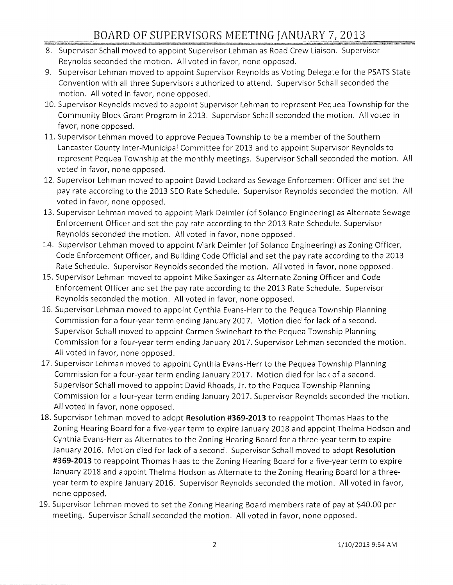## BOARD OF SUPERVISORS MEETING JANUARY 7, 2013

- 8. Supervisor Schall moved to appoint Supervisor Lehman as Road Crew Liaison. Supervisor Reynolds seconded the motion. All voted in favor, none opposed.
- 9. Supervisor Lehman moved to appoint Supervisor Reynolds as Voting Delegate for the PSATS State Convention with all three Supervisors authorized to attend. Supervisor Schall seconded the motion. All voted in favor, none opposed.
- 10. Supervisor Reynolds moved to appoint Supervisor Lehman to represent Pequea Township for the Community Block Grant Program in 2013. Supervisor Schall seconded the motion. All voted in favor, none opposed.
- 11. Supervisor Lehman moved to approve Pequea Township to be a member of the Southern Lancaster County Inter-Municipal Committee for 2013 and to appoint Supervisor Reynolds to represent Pequea Township at the monthly meetings. Supervisor Schall seconded the motion. All voted in favor, none opposed.
- 12. Supervisor Lehman moved to appoint David Lockard as Sewage Enforcement Officer and set the pay rate according to the 2013 SEO Rate Schedule. Supervisor Reynolds seconded the motion. All voted in favor, none opposed.
- 13. Supervisor Lehman moved to appoint Mark Deimler (of Solanco Engineering) as Alternate Sewage Enforcement Officer and set the pay rate according to the 2013 Rate Schedule. Supervisor Reynolds seconded the motion. All voted in favor, none opposed.
- 14. Supervisor Lehman moved to appoint Mark Deimler (of Solanco Engineering) as Zoning Officer, Code Enforcement Officer, and Building Code Official and set the pay rate according to the 2013 Rate Schedule. Supervisor Reynolds seconded the motion. All voted in favor, none opposed.
- 15. Supervisor Lehman moved to appoint Mike Saxinger as Alternate Zoning Officer and Code Enforcement Officer and set the pay rate according to the 2013 Rate Schedule. Supervisor Reynolds seconded the motion. All voted in favor, none opposed.
- 16. Supervisor Lehman moved to appoint Cynthia Evans-Herr to the Pequea Township Planning Commission for a four-year term ending January 2017. Motion died for lack of a second. Supervisor Schall moved to appoint Carmen Swinehart to the Pequea Township Planning Commission for a four-year term ending January 2017. Supervisor Lehman seconded the motion. All voted in favor, none opposed.
- 17. Supervisor Lehman moved to appoint Cynthia Evans-Herr to the Pequea Township Planning Commission for a four-year term ending January 2017. Motion died for lack of a second. Supervisor Schall moved to appoint David Rhoads, **Jr.** to the Pequea Township Planning Commission for a four-year term ending January 2017. Supervisor Reynolds seconded the motion. All voted in favor, none opposed.
- 18. Supervisor Lehman moved to adopt **Resolution #369-2013** to reappoint Thomas Haas to the Zoning Hearing Board for a five-year term to expire January 2018 and appoint Thelma Hodson and Cynthia Evans-Herr as Alternates to the Zoning Hearing Board for a three-year term to expire January 2016. Motion died for lack of a second. Supervisor Schall moved to adopt **Resolution #369-2013** to reappoint Thomas Haas to the Zoning Hearing Board for a five-year term to expire January 2018 and appoint Thelma Hodson as Alternate to the Zoning Hearing Board for a threeyear term to expire January 2016. Supervisor Reynolds seconded the motion. All voted in favor, none opposed.
- 19. Supervisor Lehman moved to set the Zoning Hearing Board members rate of pay at \$40.00 per meeting. Supervisor Schall seconded the motion. All voted in favor, none opposed.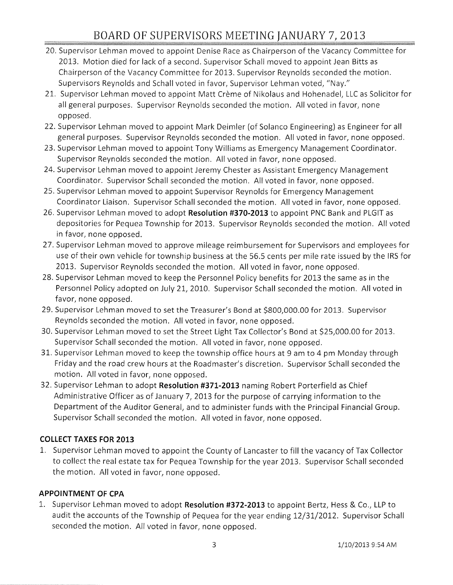# BOARD OF SUPERVISORS MEETING JANUARY 7} 2013

- 20. Supervisor Lehman moved to appoint Denise Race as Chairperson of the Vacancy Committee for 2013. Motion died for lack of a second. Supervisor Schall moved to appoint Jean Bitts as Chairperson of the Vacancy Committee for 2013. Supervisor Reynolds seconded the motion. Supervisors Reynolds and Schall voted in favor, Supervisor Lehman voted, "Nay."
- 21. Supervisor Lehman moved to appoint Matt Crème of Nikolaus and Hohenadel, LLC as Solicitor for all general purposes. Supervisor Reynolds seconded the motion. All voted in favor, none opposed.
- 22. Supervisor Lehman moved to appoint Mark Deimler (of Solanco Engineering) as Engineer for all general purposes. Supervisor Reynolds seconded the motion. All voted in favor, none opposed.
- 23. Supervisor Lehman moved to appoint Tony Williams as Emergency Management Coordinator. Supervisor Reynolds seconded the motion. All voted in favor, none opposed.
- 24. Supervisor Lehman moved to appoint Jeremy Chester as Assistant Emergency Management Coordinator. Supervisor Schall seconded the motion. All voted in favor, none opposed.
- 25. Supervisor Lehman moved to appoint Supervisor Reynolds for Emergency Management Coordinator Liaison. Supervisor Schall seconded the motion. All voted in favor, none opposed.
- 26. Supervisor Lehman moved to adopt **Resolution #370-2013** to appoint PNC Bank and PLGIT as depositories for Pequea Township for 2013. Supervisor Reynolds seconded the motion. All voted in favor, none opposed.
- 27. Supervisor Lehman moved to approve mileage reimbursement for Supervisors and employees for use of their own vehicle for township business at the 56.5 cents per mile rate issued by the IRS for 2013. Supervisor Reynolds seconded the motion. All voted in favor, none opposed.
- 28. Supervisor Lehman moved to keep the Personnel Policy benefits for 2013 the same as in the Personnel Policy adopted on July 21, 2010. Supervisor Schall seconded the motion. All voted in favor, none opposed.
- 29. Supervisor Lehman moved to set the Treasurer's Bond at \$800,000.00 for 2013. Supervisor Reynolds seconded the motion. All voted in favor, none opposed.
- 30. Supervisor Lehman moved to set the Street Light Tax Collector's Bond at \$25,000.00 for 2013. Supervisor Schall seconded the motion. All voted in favor, none opposed.
- 31. Supervisor Lehman moved to keep the township office hours at 9 am to 4 pm Monday through Friday and the road crew hours at the Roadmaster's discretion. Supervisor Schall seconded the motion. All voted in favor, none opposed.
- 32. Supervisor Lehman to adopt **Resolution #371-2013** naming Robert Porterfield as Chief Administrative Officer as of January 7, 2013 for the purpose of carrying information to the Department of the Auditor General, and to administer funds with the Principal Financial Group. Supervisor Schall seconded the motion. All voted in favor, none opposed.

## **COLLECT TAXES FOR 2013**

1. Supervisor Lehman moved to appoint the County of Lancaster to fill the vacancy of Tax Collector to collect the real estate tax for Pequea Township for the year 2013. Supervisor Schall seconded the motion. All voted in favor, none opposed.

## **APPOINTMENT OF CPA**

1. Supervisor Lehman moved to adopt **Resolution #372-2013** to appoint Bertz, Hess & Co., LLP to audit the accounts of the Township of Pequea for the year ending 12/31/2012. Supervisor Schall seconded the motion. All voted in favor, none opposed.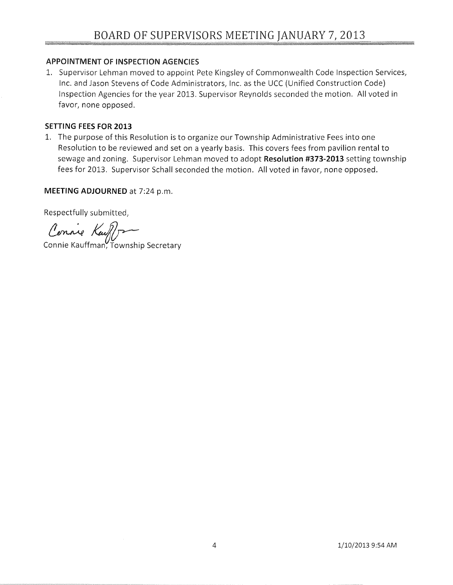## APPOINTMENT OF INSPECTION AGENCIES

1. Supervisor Lehman moved to appoint Pete Kingsley of Commonwealth Code Inspection Services, Inc. and Jason Stevens of Code Administrators, Inc. as the UCC (Unified Construction Code) Inspection Agencies for the year 2013. Supervisor Reynolds seconded the motion. All voted in favor, none opposed.

## **SETTING** FEES FOR **2013**

1. The purpose of this Resolution is to organize our Township Administrative Fees into one Resolution to be reviewed and set on a yearly basis. This covers fees from pavilion rental to sewage and zoning. Supervisor Lehman moved to adopt **Resolution #373-2013** setting township fees for 2013. Supervisor Schall seconded the motion. All voted in favor, none opposed.

## **MEETING ADJOURNED** at 7:24 p.m.

Respectfully submitted,

Respectfully submitted,<br>Connie Kauffman, Township Secretary